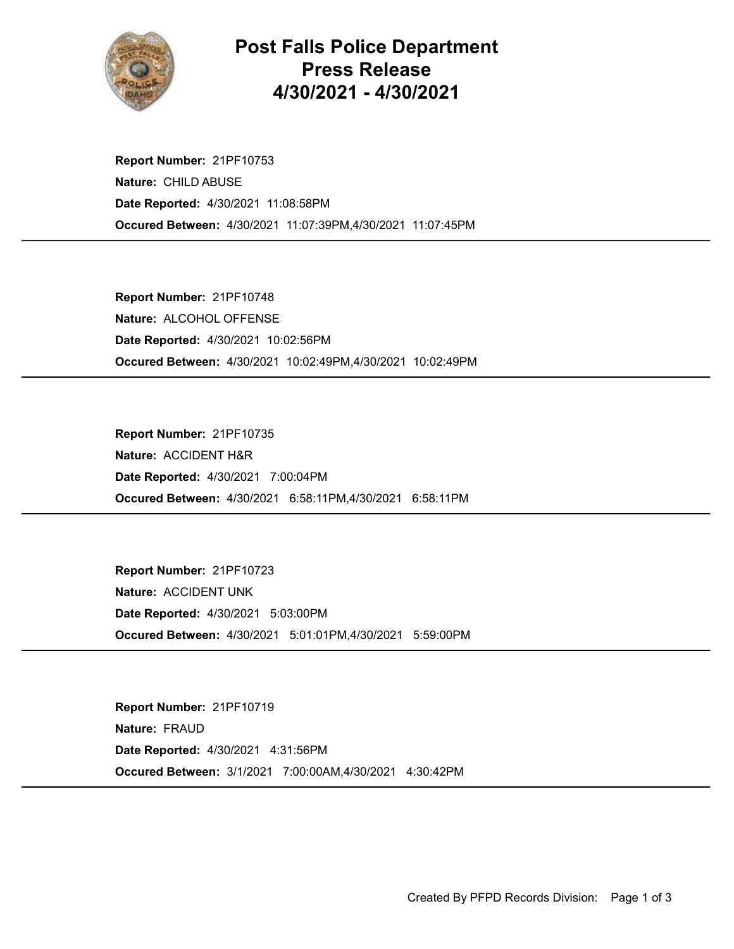

## Post Falls Police Department Press Release 4/30/2021 - 4/30/2021

Occured Between: 4/30/2021 11:07:39PM,4/30/2021 11:07:45PM Report Number: 21PF10753 Nature: CHILD ABUSE Date Reported: 4/30/2021 11:08:58PM

Occured Between: 4/30/2021 10:02:49PM,4/30/2021 10:02:49PM Report Number: 21PF10748 Nature: ALCOHOL OFFENSE Date Reported: 4/30/2021 10:02:56PM

Occured Between: 4/30/2021 6:58:11PM,4/30/2021 6:58:11PM Report Number: 21PF10735 Nature: ACCIDENT H&R Date Reported: 4/30/2021 7:00:04PM

Occured Between: 4/30/2021 5:01:01PM,4/30/2021 5:59:00PM Report Number: 21PF10723 Nature: ACCIDENT UNK Date Reported: 4/30/2021 5:03:00PM

Occured Between: 3/1/2021 7:00:00AM,4/30/2021 4:30:42PM Report Number: 21PF10719 Nature: FRAUD Date Reported: 4/30/2021 4:31:56PM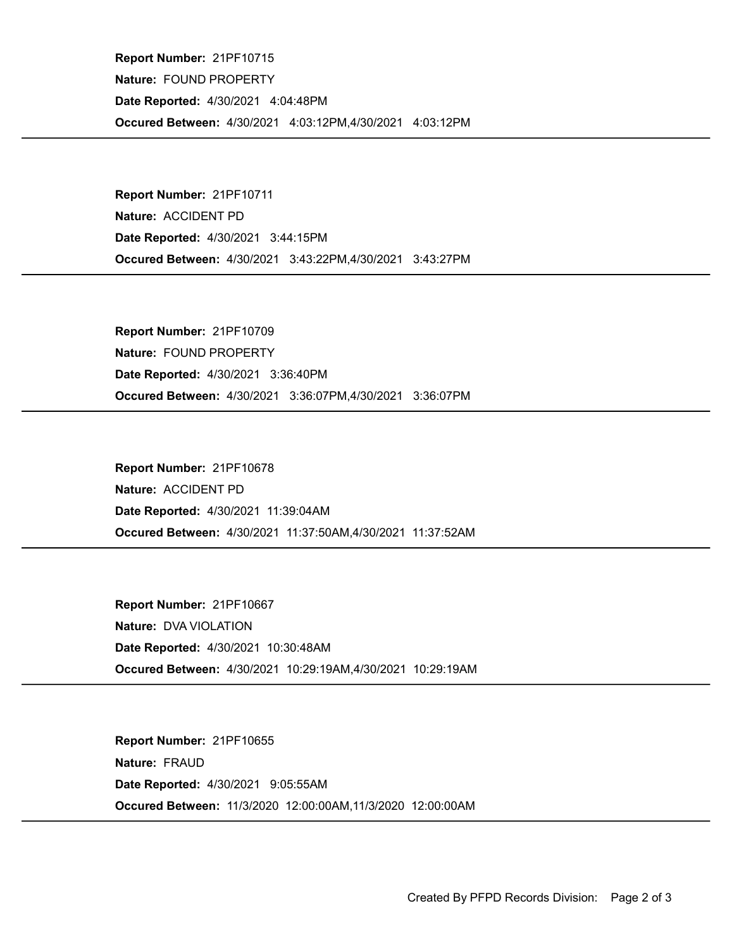Occured Between: 4/30/2021 4:03:12PM,4/30/2021 4:03:12PM Report Number: 21PF10715 Nature: FOUND PROPERTY Date Reported: 4/30/2021 4:04:48PM

Occured Between: 4/30/2021 3:43:22PM,4/30/2021 3:43:27PM Report Number: 21PF10711 Nature: ACCIDENT PD Date Reported: 4/30/2021 3:44:15PM

Occured Between: 4/30/2021 3:36:07PM,4/30/2021 3:36:07PM Report Number: 21PF10709 Nature: FOUND PROPERTY Date Reported: 4/30/2021 3:36:40PM

Occured Between: 4/30/2021 11:37:50AM,4/30/2021 11:37:52AM Report Number: 21PF10678 Nature: ACCIDENT PD Date Reported: 4/30/2021 11:39:04AM

Occured Between: 4/30/2021 10:29:19AM,4/30/2021 10:29:19AM Report Number: 21PF10667 Nature: DVA VIOLATION Date Reported: 4/30/2021 10:30:48AM

Occured Between: 11/3/2020 12:00:00AM,11/3/2020 12:00:00AM Report Number: 21PF10655 Nature: FRAUD Date Reported: 4/30/2021 9:05:55AM